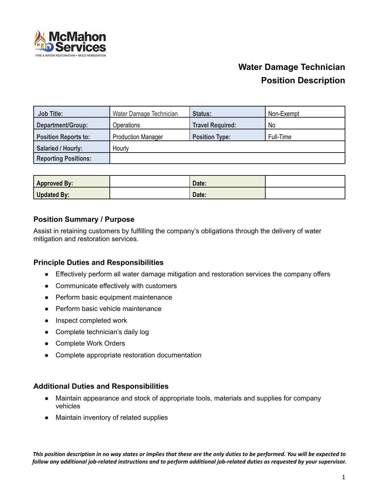

| <b>Job Title:</b>           | Water Damage Technician   | Status:                 | Non-Exempt |
|-----------------------------|---------------------------|-------------------------|------------|
| Department/Group:           | <b>Operations</b>         | <b>Travel Required:</b> | No         |
| <b>Position Reports to:</b> | <b>Production Manager</b> | <b>Position Type:</b>   | Full-Time  |
| <b>Salaried / Hourly:</b>   | Hourly                    |                         |            |
| <b>Reporting Positions:</b> |                           |                         |            |

| <b>Approved By:</b> | Date: |  |
|---------------------|-------|--|
| <b>Updated By:</b>  | Date: |  |

# **Position Summary / Purpose**

Assist in retaining customers by fulfilling the company's obligations through the delivery of water mitigation and restoration services.

### **Principle Duties and Responsibilities**

- Effectively perform all water damage mitigation and restoration services the company offers
- Communicate effectively with customers
- Perform basic equipment maintenance
- Perform basic vehicle maintenance
- Inspect completed work
- Complete technician's daily log
- Complete Work Orders
- Complete appropriate restoration documentation

### **Additional Duties and Responsibilities**

- Maintain appearance and stock of appropriate tools, materials and supplies for company vehicles
- Maintain inventory of related supplies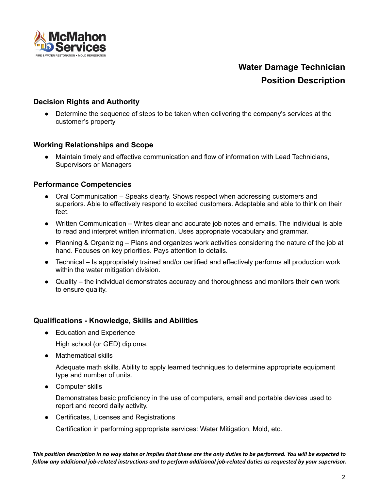

# **Decision Rights and Authority**

• Determine the sequence of steps to be taken when delivering the company's services at the customer's property

#### **Working Relationships and Scope**

● Maintain timely and effective communication and flow of information with Lead Technicians, Supervisors or Managers

#### **Performance Competencies**

- Oral Communication Speaks clearly. Shows respect when addressing customers and superiors. Able to effectively respond to excited customers. Adaptable and able to think on their feet.
- Written Communication Writes clear and accurate job notes and emails. The individual is able to read and interpret written information. Uses appropriate vocabulary and grammar.
- Planning & Organizing Plans and organizes work activities considering the nature of the job at hand. Focuses on key priorities. Pays attention to details.
- Technical Is appropriately trained and/or certified and effectively performs all production work within the water mitigation division.
- Quality the individual demonstrates accuracy and thoroughness and monitors their own work to ensure quality.

#### **Qualifications - Knowledge, Skills and Abilities**

● Education and Experience

High school (or GED) diploma.

● Mathematical skills

Adequate math skills. Ability to apply learned techniques to determine appropriate equipment type and number of units.

● Computer skills

Demonstrates basic proficiency in the use of computers, email and portable devices used to report and record daily activity.

● Certificates, Licenses and Registrations

Certification in performing appropriate services: Water Mitigation, Mold, etc.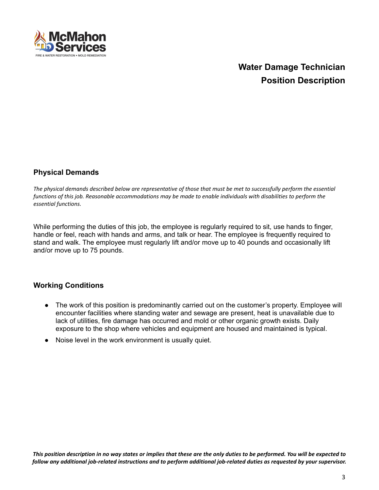

# **Physical Demands**

The physical demands described below are representative of those that must be met to successfully perform the essential functions of this job. Reasonable accommodations may be made to enable individuals with disabilities to perform the *essential functions.*

While performing the duties of this job, the employee is regularly required to sit, use hands to finger, handle or feel, reach with hands and arms, and talk or hear. The employee is frequently required to stand and walk. The employee must regularly lift and/or move up to 40 pounds and occasionally lift and/or move up to 75 pounds.

### **Working Conditions**

- The work of this position is predominantly carried out on the customer's property. Employee will encounter facilities where standing water and sewage are present, heat is unavailable due to lack of utilities, fire damage has occurred and mold or other organic growth exists. Daily exposure to the shop where vehicles and equipment are housed and maintained is typical.
- Noise level in the work environment is usually quiet.